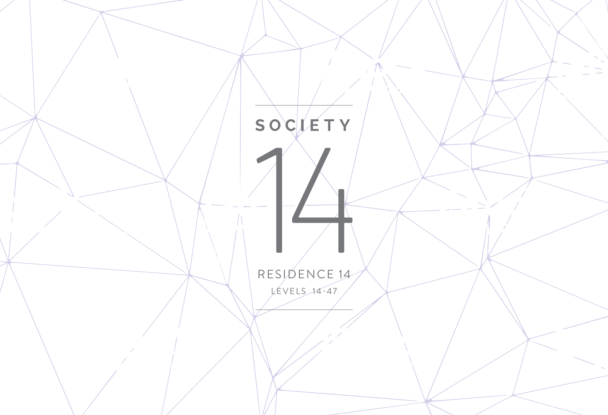